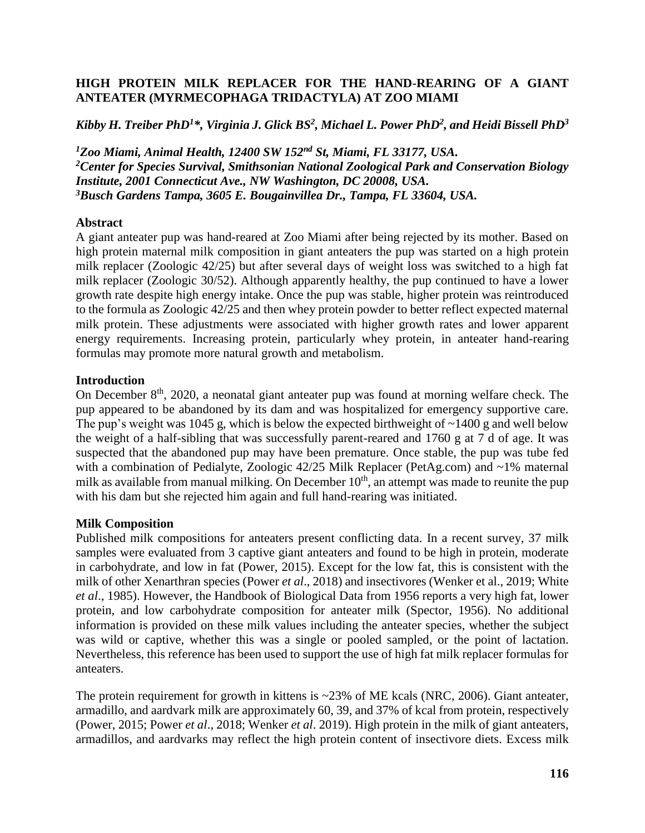## **HIGH PROTEIN MILK REPLACER FOR THE HAND-REARING OF A GIANT ANTEATER (MYRMECOPHAGA TRIDACTYLA) AT ZOO MIAMI**

*Kibby H. Treiber PhD<sup>1</sup>\*, Virginia J. Glick BS<sup>2</sup> , Michael L. Power PhD<sup>2</sup> , and Heidi Bissell PhD<sup>3</sup>*

*Zoo Miami, Animal Health, 12400 SW 152nd St, Miami, FL 33177, USA. Center for Species Survival, Smithsonian National Zoological Park and Conservation Biology Institute, 2001 Connecticut Ave., NW Washington, DC 20008, USA. Busch Gardens Tampa, 3605 E. Bougainvillea Dr., Tampa, FL 33604, USA.*

### **Abstract**

A giant anteater pup was hand-reared at Zoo Miami after being rejected by its mother. Based on high protein maternal milk composition in giant anteaters the pup was started on a high protein milk replacer (Zoologic 42/25) but after several days of weight loss was switched to a high fat milk replacer (Zoologic 30/52). Although apparently healthy, the pup continued to have a lower growth rate despite high energy intake. Once the pup was stable, higher protein was reintroduced to the formula as Zoologic 42/25 and then whey protein powder to better reflect expected maternal milk protein. These adjustments were associated with higher growth rates and lower apparent energy requirements. Increasing protein, particularly whey protein, in anteater hand-rearing formulas may promote more natural growth and metabolism.

#### **Introduction**

On December  $8<sup>th</sup>$ , 2020, a neonatal giant anteater pup was found at morning welfare check. The pup appeared to be abandoned by its dam and was hospitalized for emergency supportive care. The pup's weight was 1045 g, which is below the expected birthweight of  $\sim$ 1400 g and well below the weight of a half-sibling that was successfully parent-reared and 1760 g at 7 d of age. It was suspected that the abandoned pup may have been premature. Once stable, the pup was tube fed with a combination of Pedialyte, Zoologic 42/25 Milk Replacer (PetAg.com) and ~1% maternal milk as available from manual milking. On December  $10<sup>th</sup>$ , an attempt was made to reunite the pup with his dam but she rejected him again and full hand-rearing was initiated.

### **Milk Composition**

Published milk compositions for anteaters present conflicting data. In a recent survey, 37 milk samples were evaluated from 3 captive giant anteaters and found to be high in protein, moderate in carbohydrate, and low in fat (Power, 2015). Except for the low fat, this is consistent with the milk of other Xenarthran species (Power *et al*., 2018) and insectivores (Wenker et al., 2019; White *et al*., 1985). However, the Handbook of Biological Data from 1956 reports a very high fat, lower protein, and low carbohydrate composition for anteater milk (Spector, 1956). No additional information is provided on these milk values including the anteater species, whether the subject was wild or captive, whether this was a single or pooled sampled, or the point of lactation. Nevertheless, this reference has been used to support the use of high fat milk replacer formulas for anteaters.

The protein requirement for growth in kittens is ~23% of ME kcals (NRC, 2006). Giant anteater, armadillo, and aardvark milk are approximately 60, 39, and 37% of kcal from protein, respectively (Power, 2015; Power *et al*., 2018; Wenker *et al*. 2019). High protein in the milk of giant anteaters, armadillos, and aardvarks may reflect the high protein content of insectivore diets. Excess milk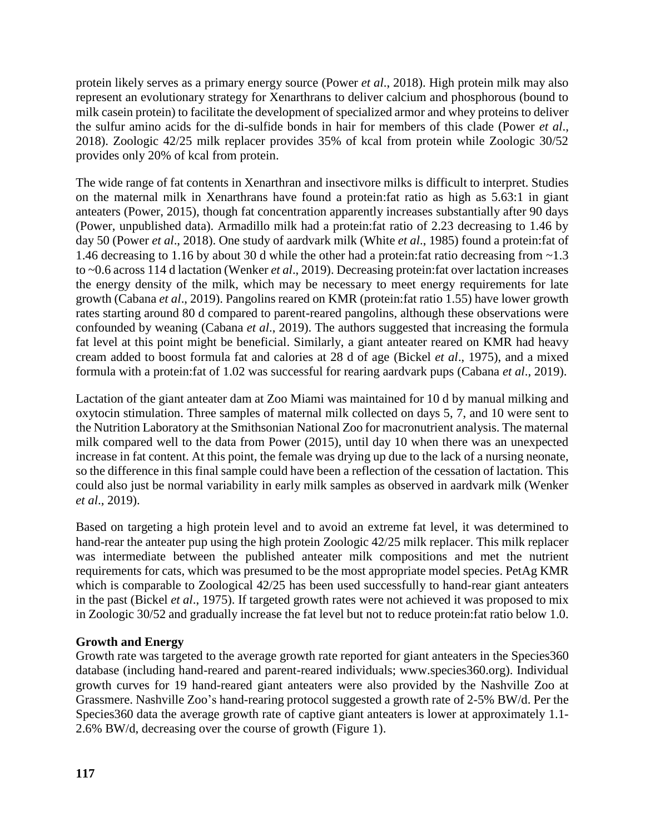protein likely serves as a primary energy source (Power *et al*., 2018). High protein milk may also represent an evolutionary strategy for Xenarthrans to deliver calcium and phosphorous (bound to milk casein protein) to facilitate the development of specialized armor and whey proteins to deliver the sulfur amino acids for the di-sulfide bonds in hair for members of this clade (Power *et al*., 2018). Zoologic 42/25 milk replacer provides 35% of kcal from protein while Zoologic 30/52 provides only 20% of kcal from protein.

The wide range of fat contents in Xenarthran and insectivore milks is difficult to interpret. Studies on the maternal milk in Xenarthrans have found a protein:fat ratio as high as 5.63:1 in giant anteaters (Power, 2015), though fat concentration apparently increases substantially after 90 days (Power, unpublished data). Armadillo milk had a protein:fat ratio of 2.23 decreasing to 1.46 by day 50 (Power *et al*., 2018). One study of aardvark milk (White *et al*., 1985) found a protein:fat of 1.46 decreasing to 1.16 by about 30 d while the other had a protein:fat ratio decreasing from ~1.3 to ~0.6 across 114 d lactation (Wenker *et al*., 2019). Decreasing protein:fat over lactation increases the energy density of the milk, which may be necessary to meet energy requirements for late growth (Cabana *et al*., 2019). Pangolins reared on KMR (protein:fat ratio 1.55) have lower growth rates starting around 80 d compared to parent-reared pangolins, although these observations were confounded by weaning (Cabana *et al*., 2019). The authors suggested that increasing the formula fat level at this point might be beneficial. Similarly, a giant anteater reared on KMR had heavy cream added to boost formula fat and calories at 28 d of age (Bickel *et al*., 1975), and a mixed formula with a protein:fat of 1.02 was successful for rearing aardvark pups (Cabana *et al*., 2019).

Lactation of the giant anteater dam at Zoo Miami was maintained for 10 d by manual milking and oxytocin stimulation. Three samples of maternal milk collected on days 5, 7, and 10 were sent to the Nutrition Laboratory at the Smithsonian National Zoo for macronutrient analysis. The maternal milk compared well to the data from Power (2015), until day 10 when there was an unexpected increase in fat content. At this point, the female was drying up due to the lack of a nursing neonate, so the difference in this final sample could have been a reflection of the cessation of lactation. This could also just be normal variability in early milk samples as observed in aardvark milk (Wenker *et al*., 2019).

Based on targeting a high protein level and to avoid an extreme fat level, it was determined to hand-rear the anteater pup using the high protein Zoologic 42/25 milk replacer. This milk replacer was intermediate between the published anteater milk compositions and met the nutrient requirements for cats, which was presumed to be the most appropriate model species. PetAg KMR which is comparable to Zoological 42/25 has been used successfully to hand-rear giant anteaters in the past (Bickel *et al*., 1975). If targeted growth rates were not achieved it was proposed to mix in Zoologic 30/52 and gradually increase the fat level but not to reduce protein:fat ratio below 1.0.

# **Growth and Energy**

Growth rate was targeted to the average growth rate reported for giant anteaters in the Species360 database (including hand-reared and parent-reared individuals; www.species360.org). Individual growth curves for 19 hand-reared giant anteaters were also provided by the Nashville Zoo at Grassmere. Nashville Zoo's hand-rearing protocol suggested a growth rate of 2-5% BW/d. Per the Species360 data the average growth rate of captive giant anteaters is lower at approximately 1.1- 2.6% BW/d, decreasing over the course of growth (Figure 1).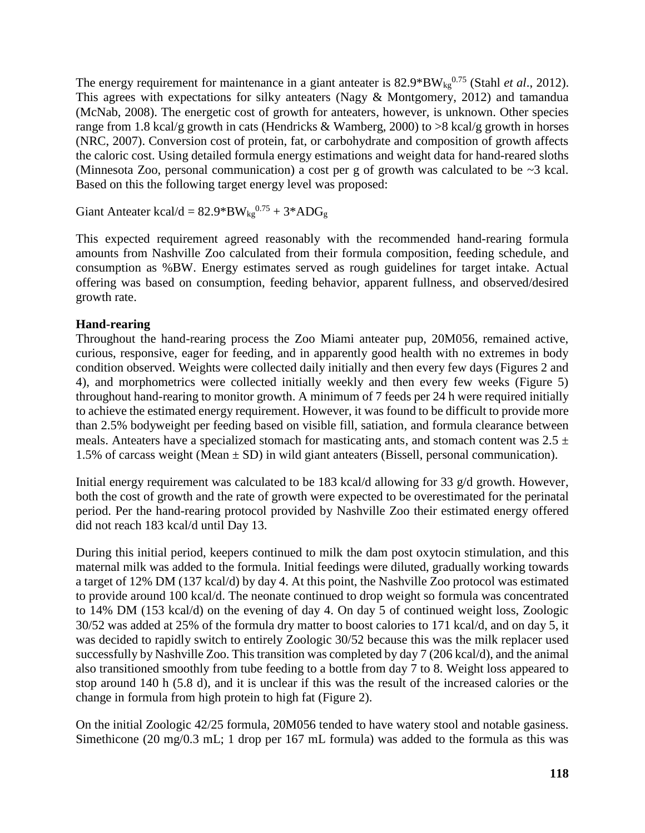The energy requirement for maintenance in a giant anteater is  $82.9*BW_{kg}^{0.75}$  (Stahl *et al.*, 2012). This agrees with expectations for silky anteaters (Nagy & Montgomery, 2012) and tamandua (McNab, 2008). The energetic cost of growth for anteaters, however, is unknown. Other species range from 1.8 kcal/g growth in cats (Hendricks & Wamberg, 2000) to >8 kcal/g growth in horses (NRC, 2007). Conversion cost of protein, fat, or carbohydrate and composition of growth affects the caloric cost. Using detailed formula energy estimations and weight data for hand-reared sloths (Minnesota Zoo, personal communication) a cost per g of growth was calculated to be ~3 kcal. Based on this the following target energy level was proposed:

Giant Anteater kcal/d =  $82.9^*BW_{kg}^{0.75} + 3*ADG_g$ 

This expected requirement agreed reasonably with the recommended hand-rearing formula amounts from Nashville Zoo calculated from their formula composition, feeding schedule, and consumption as %BW. Energy estimates served as rough guidelines for target intake. Actual offering was based on consumption, feeding behavior, apparent fullness, and observed/desired growth rate.

## **Hand-rearing**

Throughout the hand-rearing process the Zoo Miami anteater pup, 20M056, remained active, curious, responsive, eager for feeding, and in apparently good health with no extremes in body condition observed. Weights were collected daily initially and then every few days (Figures 2 and 4), and morphometrics were collected initially weekly and then every few weeks (Figure 5) throughout hand-rearing to monitor growth. A minimum of 7 feeds per 24 h were required initially to achieve the estimated energy requirement. However, it was found to be difficult to provide more than 2.5% bodyweight per feeding based on visible fill, satiation, and formula clearance between meals. Anteaters have a specialized stomach for masticating ants, and stomach content was  $2.5 \pm$ 1.5% of carcass weight (Mean  $\pm$  SD) in wild giant anteaters (Bissell, personal communication).

Initial energy requirement was calculated to be 183 kcal/d allowing for 33 g/d growth. However, both the cost of growth and the rate of growth were expected to be overestimated for the perinatal period. Per the hand-rearing protocol provided by Nashville Zoo their estimated energy offered did not reach 183 kcal/d until Day 13.

During this initial period, keepers continued to milk the dam post oxytocin stimulation, and this maternal milk was added to the formula. Initial feedings were diluted, gradually working towards a target of 12% DM (137 kcal/d) by day 4. At this point, the Nashville Zoo protocol was estimated to provide around 100 kcal/d. The neonate continued to drop weight so formula was concentrated to 14% DM (153 kcal/d) on the evening of day 4. On day 5 of continued weight loss, Zoologic 30/52 was added at 25% of the formula dry matter to boost calories to 171 kcal/d, and on day 5, it was decided to rapidly switch to entirely Zoologic 30/52 because this was the milk replacer used successfully by Nashville Zoo. This transition was completed by day 7 (206 kcal/d), and the animal also transitioned smoothly from tube feeding to a bottle from day 7 to 8. Weight loss appeared to stop around 140 h (5.8 d), and it is unclear if this was the result of the increased calories or the change in formula from high protein to high fat (Figure 2).

On the initial Zoologic 42/25 formula, 20M056 tended to have watery stool and notable gasiness. Simethicone (20 mg/0.3 mL; 1 drop per 167 mL formula) was added to the formula as this was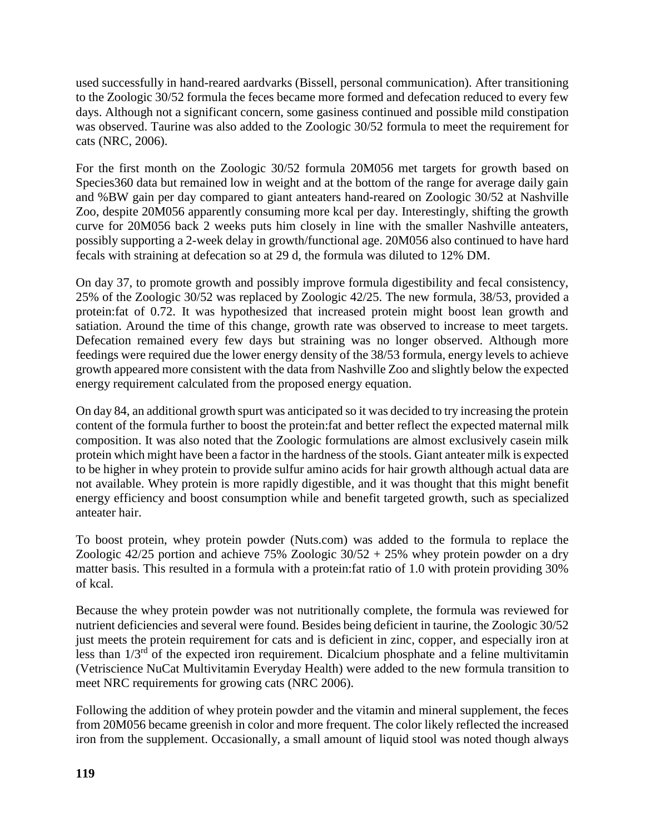used successfully in hand-reared aardvarks (Bissell, personal communication). After transitioning to the Zoologic 30/52 formula the feces became more formed and defecation reduced to every few days. Although not a significant concern, some gasiness continued and possible mild constipation was observed. Taurine was also added to the Zoologic 30/52 formula to meet the requirement for cats (NRC, 2006).

For the first month on the Zoologic 30/52 formula 20M056 met targets for growth based on Species360 data but remained low in weight and at the bottom of the range for average daily gain and %BW gain per day compared to giant anteaters hand-reared on Zoologic 30/52 at Nashville Zoo, despite 20M056 apparently consuming more kcal per day. Interestingly, shifting the growth curve for 20M056 back 2 weeks puts him closely in line with the smaller Nashville anteaters, possibly supporting a 2-week delay in growth/functional age. 20M056 also continued to have hard fecals with straining at defecation so at 29 d, the formula was diluted to 12% DM.

On day 37, to promote growth and possibly improve formula digestibility and fecal consistency, 25% of the Zoologic 30/52 was replaced by Zoologic 42/25. The new formula, 38/53, provided a protein:fat of 0.72. It was hypothesized that increased protein might boost lean growth and satiation. Around the time of this change, growth rate was observed to increase to meet targets. Defecation remained every few days but straining was no longer observed. Although more feedings were required due the lower energy density of the 38/53 formula, energy levels to achieve growth appeared more consistent with the data from Nashville Zoo and slightly below the expected energy requirement calculated from the proposed energy equation.

On day 84, an additional growth spurt was anticipated so it was decided to try increasing the protein content of the formula further to boost the protein:fat and better reflect the expected maternal milk composition. It was also noted that the Zoologic formulations are almost exclusively casein milk protein which might have been a factor in the hardness of the stools. Giant anteater milk is expected to be higher in whey protein to provide sulfur amino acids for hair growth although actual data are not available. Whey protein is more rapidly digestible, and it was thought that this might benefit energy efficiency and boost consumption while and benefit targeted growth, such as specialized anteater hair.

To boost protein, whey protein powder (Nuts.com) was added to the formula to replace the Zoologic 42/25 portion and achieve 75% Zoologic  $30/52 + 25%$  whey protein powder on a dry matter basis. This resulted in a formula with a protein:fat ratio of 1.0 with protein providing 30% of kcal.

Because the whey protein powder was not nutritionally complete, the formula was reviewed for nutrient deficiencies and several were found. Besides being deficient in taurine, the Zoologic 30/52 just meets the protein requirement for cats and is deficient in zinc, copper, and especially iron at less than  $1/3<sup>rd</sup>$  of the expected iron requirement. Dicalcium phosphate and a feline multivitamin (Vetriscience NuCat Multivitamin Everyday Health) were added to the new formula transition to meet NRC requirements for growing cats (NRC 2006).

Following the addition of whey protein powder and the vitamin and mineral supplement, the feces from 20M056 became greenish in color and more frequent. The color likely reflected the increased iron from the supplement. Occasionally, a small amount of liquid stool was noted though always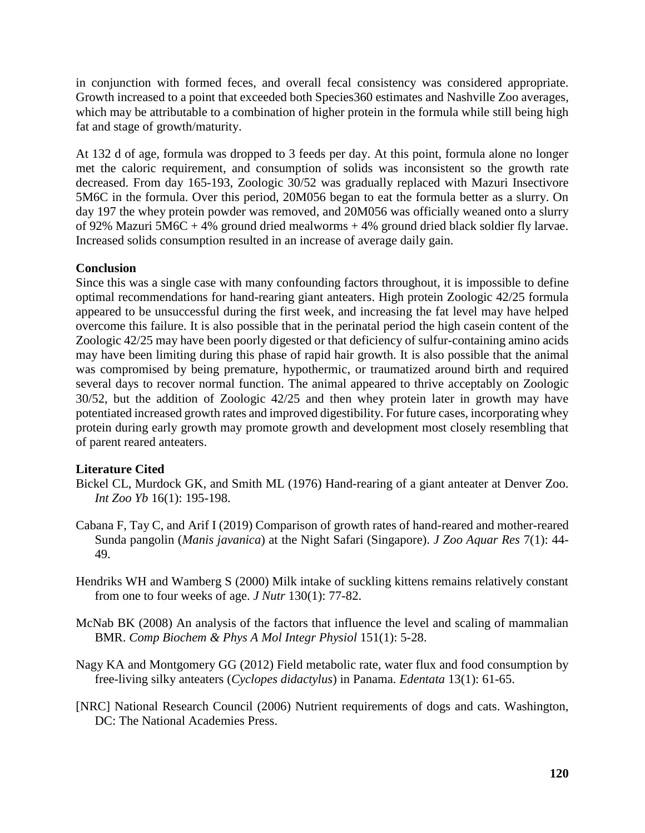in conjunction with formed feces, and overall fecal consistency was considered appropriate. Growth increased to a point that exceeded both Species360 estimates and Nashville Zoo averages, which may be attributable to a combination of higher protein in the formula while still being high fat and stage of growth/maturity.

At 132 d of age, formula was dropped to 3 feeds per day. At this point, formula alone no longer met the caloric requirement, and consumption of solids was inconsistent so the growth rate decreased. From day 165-193, Zoologic 30/52 was gradually replaced with Mazuri Insectivore 5M6C in the formula. Over this period, 20M056 began to eat the formula better as a slurry. On day 197 the whey protein powder was removed, and 20M056 was officially weaned onto a slurry of 92% Mazuri 5M6C + 4% ground dried mealworms + 4% ground dried black soldier fly larvae. Increased solids consumption resulted in an increase of average daily gain.

# **Conclusion**

Since this was a single case with many confounding factors throughout, it is impossible to define optimal recommendations for hand-rearing giant anteaters. High protein Zoologic 42/25 formula appeared to be unsuccessful during the first week, and increasing the fat level may have helped overcome this failure. It is also possible that in the perinatal period the high casein content of the Zoologic 42/25 may have been poorly digested or that deficiency of sulfur-containing amino acids may have been limiting during this phase of rapid hair growth. It is also possible that the animal was compromised by being premature, hypothermic, or traumatized around birth and required several days to recover normal function. The animal appeared to thrive acceptably on Zoologic 30/52, but the addition of Zoologic 42/25 and then whey protein later in growth may have potentiated increased growth rates and improved digestibility. For future cases, incorporating whey protein during early growth may promote growth and development most closely resembling that of parent reared anteaters.

### **Literature Cited**

- Bickel CL, Murdock GK, and Smith ML (1976) Hand-rearing of a giant anteater at Denver Zoo. *Int Zoo Yb* 16(1): 195-198.
- Cabana F, Tay C, and Arif I (2019) Comparison of growth rates of hand-reared and mother-reared Sunda pangolin (*Manis javanica*) at the Night Safari (Singapore). *J Zoo Aquar Res* 7(1): 44- 49.
- Hendriks WH and Wamberg S (2000) Milk intake of suckling kittens remains relatively constant from one to four weeks of age. *J Nutr* 130(1): 77-82.
- McNab BK (2008) An analysis of the factors that influence the level and scaling of mammalian BMR. *Comp Biochem & Phys A Mol Integr Physiol* 151(1): 5-28.
- Nagy KA and Montgomery GG (2012) Field metabolic rate, water flux and food consumption by free-living silky anteaters (*Cyclopes didactylus*) in Panama. *Edentata* 13(1): 61-65.
- [NRC] National Research Council (2006) Nutrient requirements of dogs and cats. Washington, DC: The National Academies Press.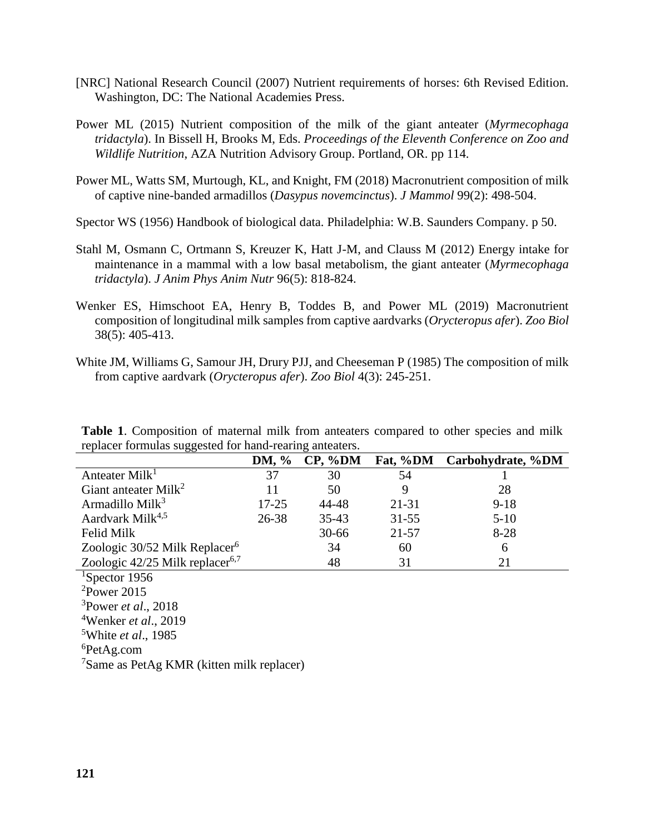- [NRC] National Research Council (2007) Nutrient requirements of horses: 6th Revised Edition. Washington, DC: The National Academies Press.
- Power ML (2015) Nutrient composition of the milk of the giant anteater (*Myrmecophaga tridactyla*). In Bissell H, Brooks M, Eds. *Proceedings of the Eleventh Conference on Zoo and Wildlife Nutrition*, AZA Nutrition Advisory Group. Portland, OR. pp 114.
- Power ML, Watts SM, Murtough, KL, and Knight, FM (2018) Macronutrient composition of milk of captive nine-banded armadillos (*Dasypus novemcinctus*). *J Mammol* 99(2): 498-504.

Spector WS (1956) Handbook of biological data. Philadelphia: W.B. Saunders Company. p 50.

- Stahl M, Osmann C, Ortmann S, Kreuzer K, Hatt J-M, and Clauss M (2012) Energy intake for maintenance in a mammal with a low basal metabolism, the giant anteater (*Myrmecophaga tridactyla*). *J Anim Phys Anim Nutr* 96(5): 818-824.
- Wenker ES, Himschoot EA, Henry B, Toddes B, and Power ML (2019) Macronutrient composition of longitudinal milk samples from captive aardvarks (*Orycteropus afer*). *Zoo Biol* 38(5): 405-413.
- White JM, Williams G, Samour JH, Drury PJJ, and Cheeseman P (1985) The composition of milk from captive aardvark (*Orycteropus afer*). *Zoo Biol* 4(3): 245-251.

| <b>Table 1.</b> Composition of maternal milk from anteaters compared to other species and milk |  |  |  |  |  |
|------------------------------------------------------------------------------------------------|--|--|--|--|--|
| replacer formulas suggested for hand-rearing anteaters.                                        |  |  |  |  |  |

| ັັ                                          |              | ັ         |           |                   |
|---------------------------------------------|--------------|-----------|-----------|-------------------|
|                                             | <b>DM,</b> % | CP, %DM   | Fat, %DM  | Carbohydrate, %DM |
| Anteater Milk <sup>1</sup>                  | 37           | 30        | 54        |                   |
| Giant anteater Milk <sup>2</sup>            | 11           | 50        | 9         | 28                |
| Armadillo Mil $k^3$                         | 17-25        | 44-48     | 21-31     | $9-18$            |
| Aardvark Milk <sup>4,5</sup>                | 26-38        | $35 - 43$ | $31 - 55$ | $5 - 10$          |
| <b>Felid Milk</b>                           |              | $30 - 66$ | $21 - 57$ | $8-28$            |
| Zoologic 30/52 Milk Replacer <sup>6</sup>   |              | 34        | 60        | 6                 |
| Zoologic 42/25 Milk replacer <sup>6,7</sup> |              | 48        | 31        | 21                |
| <sup>1</sup> Spector 1956                   |              |           |           |                   |
| $2$ Power 2015                              |              |           |           |                   |
| <sup>3</sup> Power <i>et al.</i> , 2018     |              |           |           |                   |
| <sup>4</sup> Wenker <i>et al.</i> , 2019    |              |           |           |                   |
| $5$ White <i>at al</i> 1085                 |              |           |           |                   |

<sup>5</sup>White *et al*., 1985 <sup>6</sup>PetAg.com

<sup>7</sup>Same as PetAg KMR (kitten milk replacer)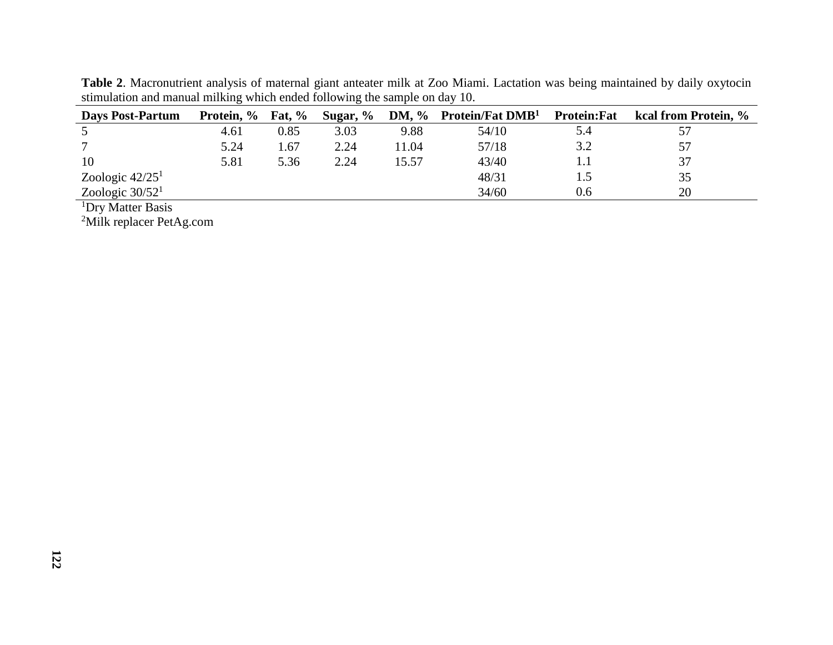| <b>Days Post-Partum</b> | Protein, % | <b>Fat, %</b> | Sugar, % |       | DM, $\%$ Protein/Fat DMB <sup>1</sup> | <b>Protein:Fat</b> | kcal from Protein, % |
|-------------------------|------------|---------------|----------|-------|---------------------------------------|--------------------|----------------------|
|                         | 4.61       | 0.85          | 3.03     | 9.88  | 54/10                                 | 5.4                |                      |
|                         | 5.24       | . 67          | 2.24     | 11.04 | 57/18                                 | 3.2                |                      |
| 10                      | 5.81       | 5.36          | 2.24     | 15.57 | 43/40                                 | 1.1                |                      |
| Zoologic $42/251$       |            |               |          |       | 48/31                                 | 1.5                | 35                   |
| Zoologic $30/521$       |            |               |          |       | 34/60                                 | 0.6                | 20                   |

**Table 2**. Macronutrient analysis of maternal giant anteater milk at Zoo Miami. Lactation was being maintained by daily oxytocin stimulation and manual milking which ended following the sample on day 10.

<sup>1</sup>Dry Matter Basis

<sup>2</sup>Milk replacer PetAg.com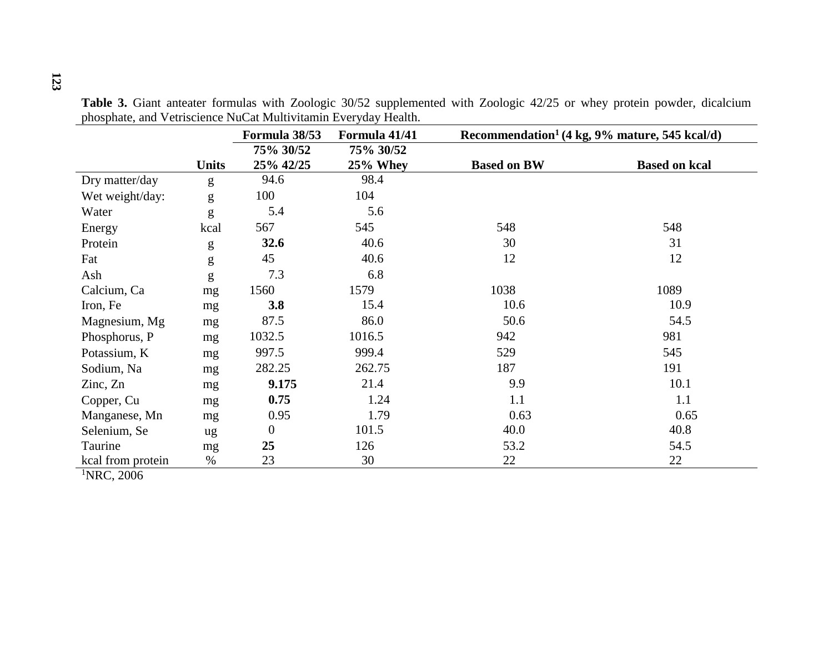|                          |              | Formula 38/53  | Formula 41/41 | Recommendation <sup>1</sup> (4 kg, $9\%$ mature, 545 kcal/d) |                      |
|--------------------------|--------------|----------------|---------------|--------------------------------------------------------------|----------------------|
|                          |              | 75% 30/52      | 75% 30/52     |                                                              |                      |
|                          | <b>Units</b> | 25% 42/25      | $25%$ Whey    | <b>Based on BW</b>                                           | <b>Based on kcal</b> |
| Dry matter/day           | g            | 94.6           | 98.4          |                                                              |                      |
| Wet weight/day:          | g            | 100            | 104           |                                                              |                      |
| Water                    | g            | 5.4            | 5.6           |                                                              |                      |
| Energy                   | kcal         | 567            | 545           | 548                                                          | 548                  |
| Protein                  | g            | 32.6           | 40.6          | 30                                                           | 31                   |
| Fat                      | g            | 45             | 40.6          | 12                                                           | 12                   |
| Ash                      | g            | 7.3            | 6.8           |                                                              |                      |
| Calcium, Ca              | mg           | 1560           | 1579          | 1038                                                         | 1089                 |
| Iron, Fe                 | mg           | 3.8            | 15.4          | 10.6                                                         | 10.9                 |
| Magnesium, Mg            | mg           | 87.5           | 86.0          | 50.6                                                         | 54.5                 |
| Phosphorus, P            | mg           | 1032.5         | 1016.5        | 942                                                          | 981                  |
| Potassium, K             | mg           | 997.5          | 999.4         | 529                                                          | 545                  |
| Sodium, Na               | mg           | 282.25         | 262.75        | 187                                                          | 191                  |
| $\text{Zinc}, \text{Zn}$ | mg           | 9.175          | 21.4          | 9.9                                                          | 10.1                 |
| Copper, Cu               | mg           | 0.75           | 1.24          | 1.1                                                          | 1.1                  |
| Manganese, Mn            | mg           | 0.95           | 1.79          | 0.63                                                         | 0.65                 |
| Selenium, Se             | ug           | $\overline{0}$ | 101.5         | 40.0                                                         | 40.8                 |
| Taurine                  | mg           | 25             | 126           | 53.2                                                         | 54.5                 |
| kcal from protein        | %            | 23             | 30            | 22                                                           | 22                   |

**Table 3.** Giant anteater formulas with Zoologic 30/52 supplemented with Zoologic 42/25 or whey protein powder, dicalcium phosphate, and Vetriscience NuCat Multivitamin Everyday Health.

 $1$ NRC, 2006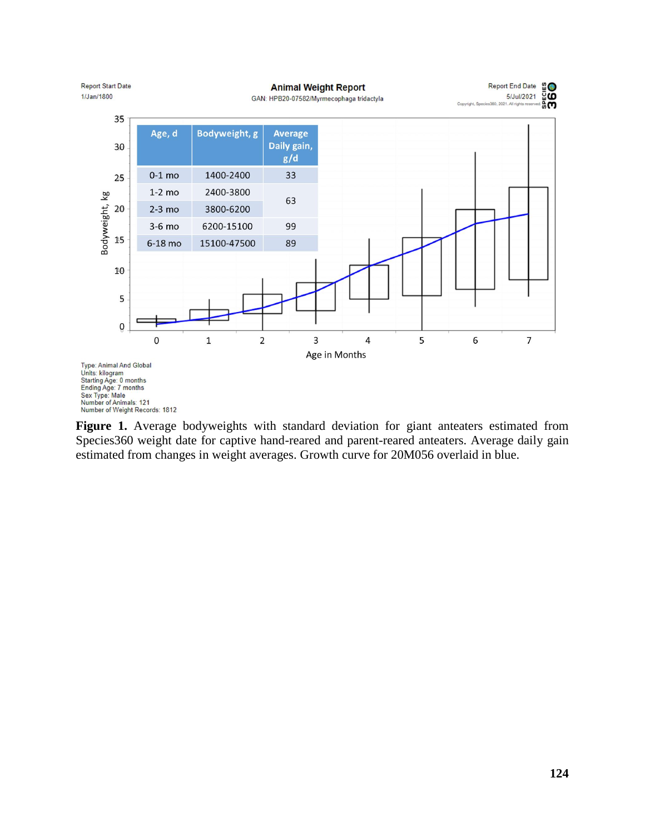

**Figure 1.** Average bodyweights with standard deviation for giant anteaters estimated from Species360 weight date for captive hand-reared and parent-reared anteaters. Average daily gain estimated from changes in weight averages. Growth curve for 20M056 overlaid in blue.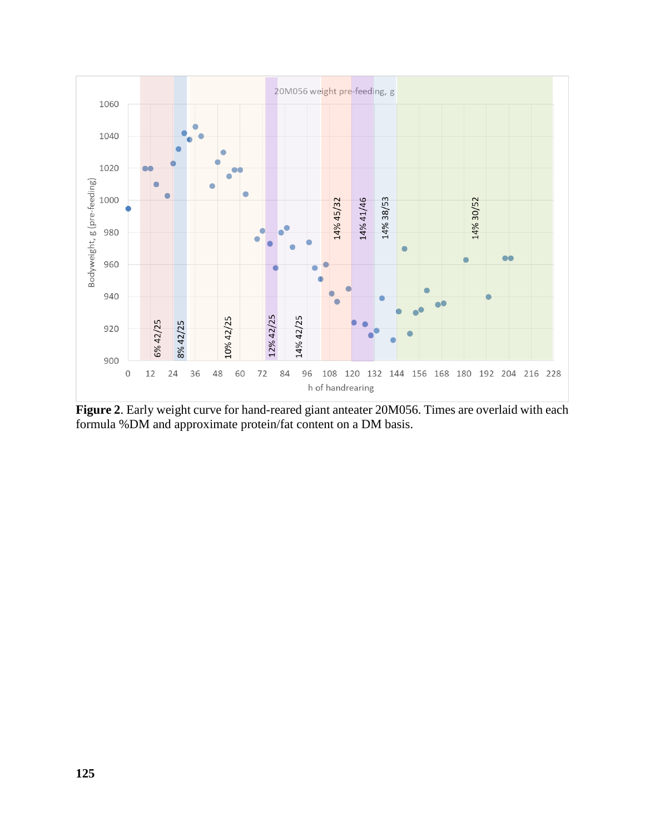

**Figure 2**. Early weight curve for hand-reared giant anteater 20M056. Times are overlaid with each formula %DM and approximate protein/fat content on a DM basis.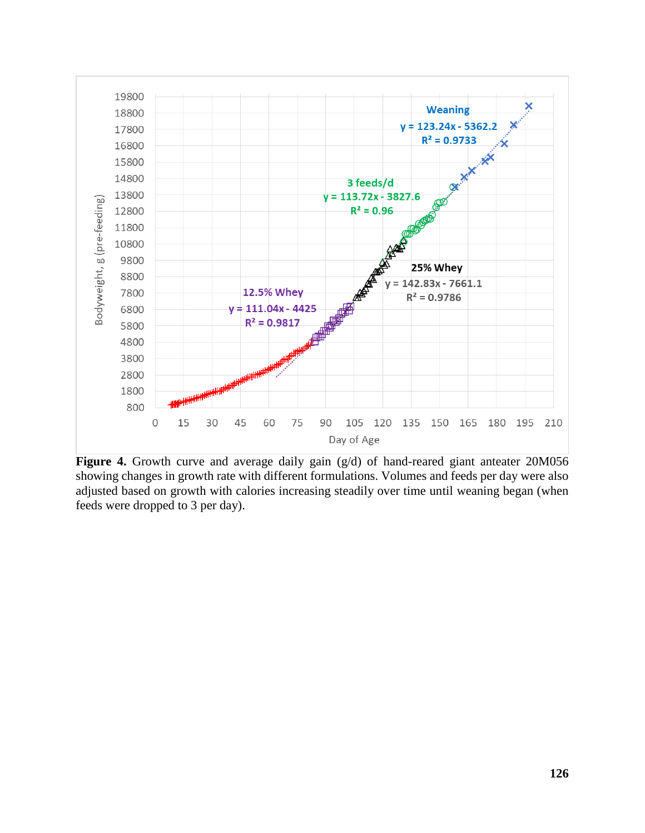

**Figure 4.** Growth curve and average daily gain (g/d) of hand-reared giant anteater 20M056 showing changes in growth rate with different formulations. Volumes and feeds per day were also adjusted based on growth with calories increasing steadily over time until weaning began (when feeds were dropped to 3 per day).